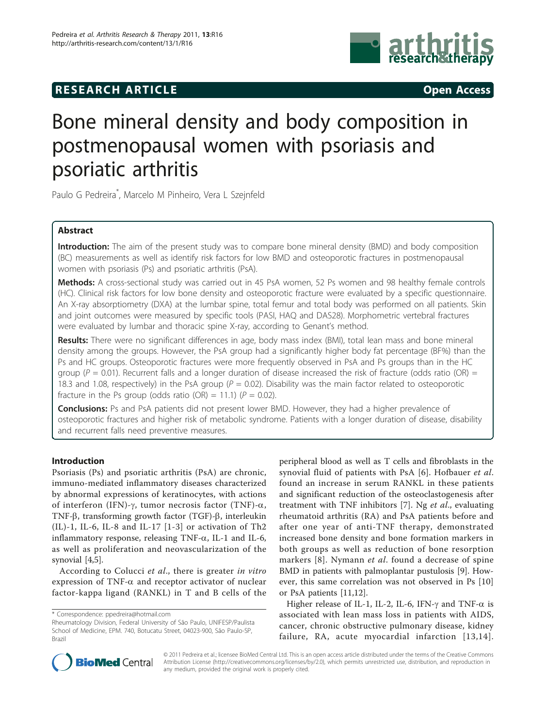# **RESEARCH ARTICLE Example 2018 12:00 Open Access**



# Bone mineral density and body composition in postmenopausal women with psoriasis and psoriatic arthritis

Paulo G Pedreira\* , Marcelo M Pinheiro, Vera L Szejnfeld

# Abstract

**Introduction:** The aim of the present study was to compare bone mineral density (BMD) and body composition (BC) measurements as well as identify risk factors for low BMD and osteoporotic fractures in postmenopausal women with psoriasis (Ps) and psoriatic arthritis (PsA).

Methods: A cross-sectional study was carried out in 45 PsA women, 52 Ps women and 98 healthy female controls (HC). Clinical risk factors for low bone density and osteoporotic fracture were evaluated by a specific questionnaire. An X-ray absorptiometry (DXA) at the lumbar spine, total femur and total body was performed on all patients. Skin and joint outcomes were measured by specific tools (PASI, HAQ and DAS28). Morphometric vertebral fractures were evaluated by lumbar and thoracic spine X-ray, according to Genant's method.

Results: There were no significant differences in age, body mass index (BMI), total lean mass and bone mineral density among the groups. However, the PsA group had a significantly higher body fat percentage (BF%) than the Ps and HC groups. Osteoporotic fractures were more frequently observed in PsA and Ps groups than in the HC group ( $P = 0.01$ ). Recurrent falls and a longer duration of disease increased the risk of fracture (odds ratio (OR) = 18.3 and 1.08, respectively) in the PsA group ( $P = 0.02$ ). Disability was the main factor related to osteoporotic fracture in the Ps group (odds ratio (OR) = 11.1) ( $P = 0.02$ ).

**Conclusions:** Ps and PsA patients did not present lower BMD. However, they had a higher prevalence of osteoporotic fractures and higher risk of metabolic syndrome. Patients with a longer duration of disease, disability and recurrent falls need preventive measures.

# Introduction

Psoriasis (Ps) and psoriatic arthritis (PsA) are chronic, immuno-mediated inflammatory diseases characterized by abnormal expressions of keratinocytes, with actions of interferon (IFN)- $\gamma$ , tumor necrosis factor (TNF)- $\alpha$ , TNF- $\beta$ , transforming growth factor (TGF)- $\beta$ , interleukin (IL)-1, IL-6, IL-8 and IL-17 [\[1-3](#page-6-0)] or activation of Th2 inflammatory response, releasing TNF- $\alpha$ , IL-1 and IL-6, as well as proliferation and neovascularization of the synovial [[4,5\]](#page-6-0).

According to Colucci et al., there is greater in vitro expression of TNF- $\alpha$  and receptor activator of nuclear factor-kappa ligand (RANKL) in T and B cells of the

peripheral blood as well as T cells and fibroblasts in the synovial fluid of patients with PsA [[6\]](#page-6-0). Hofbauer et al. found an increase in serum RANKL in these patients and significant reduction of the osteoclastogenesis after treatment with TNF inhibitors [[7\]](#page-6-0). Ng et al., evaluating rheumatoid arthritis (RA) and PsA patients before and after one year of anti-TNF therapy, demonstrated increased bone density and bone formation markers in both groups as well as reduction of bone resorption markers [\[8\]](#page-6-0). Nymann *et al*. found a decrease of spine BMD in patients with palmoplantar pustulosis [\[9\]](#page-6-0). However, this same correlation was not observed in Ps [\[10](#page-6-0)] or PsA patients [\[11,12](#page-6-0)].

Higher release of IL-1, IL-2, IL-6, IFN- $\gamma$  and TNF- $\alpha$  is associated with lean mass loss in patients with AIDS, cancer, chronic obstructive pulmonary disease, kidney failure, RA, acute myocardial infarction [[13](#page-6-0),[14\]](#page-6-0).



© 2011 Pedreira et al.; licensee BioMed Central Ltd. This is an open access article distributed under the terms of the Creative Commons Attribution License [\(http://creativecommons.org/licenses/by/2.0](http://creativecommons.org/licenses/by/2.0)), which permits unrestricted use, distribution, and reproduction in any medium, provided the original work is properly cited.

<sup>\*</sup> Correspondence: [ppedreira@hotmail.com](mailto:ppedreira@hotmail.com)

Rheumatology Division, Federal University of São Paulo, UNIFESP/Paulista School of Medicine, EPM. 740, Botucatu Street, 04023-900, São Paulo-SP, Brazil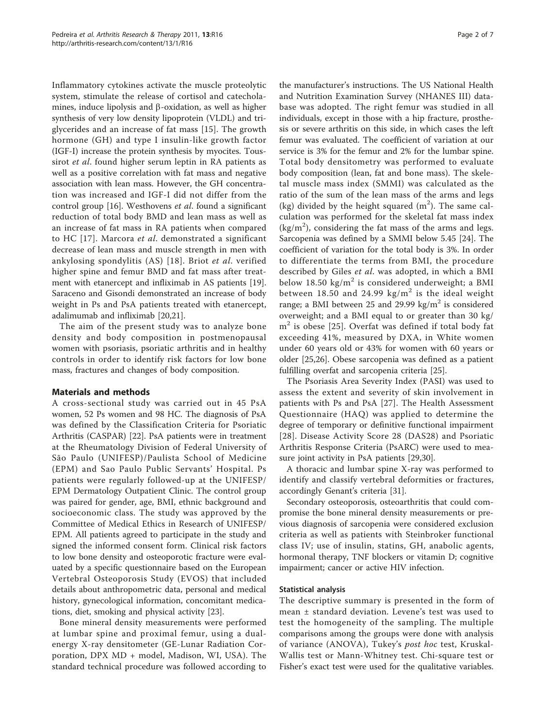Inflammatory cytokines activate the muscle proteolytic system, stimulate the release of cortisol and catecholamines, induce lipolysis and  $\beta$ -oxidation, as well as higher synthesis of very low density lipoprotein (VLDL) and triglycerides and an increase of fat mass [[15\]](#page-6-0). The growth hormone (GH) and type I insulin-like growth factor (IGF-I) increase the protein synthesis by myocites. Toussirot *et al.* found higher serum leptin in RA patients as well as a positive correlation with fat mass and negative association with lean mass. However, the GH concentration was increased and IGF-I did not differ from the control group [[16](#page-6-0)]. Westhovens et al. found a significant reduction of total body BMD and lean mass as well as an increase of fat mass in RA patients when compared to HC [[17\]](#page-6-0). Marcora et al. demonstrated a significant decrease of lean mass and muscle strength in men with ankylosing spondylitis (AS) [\[18\]](#page-6-0). Briot et al. verified higher spine and femur BMD and fat mass after treatment with etanercept and infliximab in AS patients [\[19](#page-6-0)]. Saraceno and Gisondi demonstrated an increase of body weight in Ps and PsA patients treated with etanercept, adalimumab and infliximab [\[20,21](#page-6-0)].

The aim of the present study was to analyze bone density and body composition in postmenopausal women with psoriasis, psoriatic arthritis and in healthy controls in order to identify risk factors for low bone mass, fractures and changes of body composition.

# Materials and methods

A cross-sectional study was carried out in 45 PsA women, 52 Ps women and 98 HC. The diagnosis of PsA was defined by the Classification Criteria for Psoriatic Arthritis (CASPAR) [\[22](#page-6-0)]. PsA patients were in treatment at the Rheumatology Division of Federal University of São Paulo (UNIFESP)/Paulista School of Medicine (EPM) and Sao Paulo Public Servants' Hospital. Ps patients were regularly followed-up at the UNIFESP/ EPM Dermatology Outpatient Clinic. The control group was paired for gender, age, BMI, ethnic background and socioeconomic class. The study was approved by the Committee of Medical Ethics in Research of UNIFESP/ EPM. All patients agreed to participate in the study and signed the informed consent form. Clinical risk factors to low bone density and osteoporotic fracture were evaluated by a specific questionnaire based on the European Vertebral Osteoporosis Study (EVOS) that included details about anthropometric data, personal and medical history, gynecological information, concomitant medications, diet, smoking and physical activity [[23](#page-6-0)].

Bone mineral density measurements were performed at lumbar spine and proximal femur, using a dualenergy X-ray densitometer (GE-Lunar Radiation Corporation, DPX MD + model, Madison, WI, USA). The standard technical procedure was followed according to

the manufacturer's instructions. The US National Health and Nutrition Examination Survey (NHANES III) database was adopted. The right femur was studied in all individuals, except in those with a hip fracture, prosthesis or severe arthritis on this side, in which cases the left femur was evaluated. The coefficient of variation at our service is 3% for the femur and 2% for the lumbar spine. Total body densitometry was performed to evaluate body composition (lean, fat and bone mass). The skeletal muscle mass index (SMMI) was calculated as the ratio of the sum of the lean mass of the arms and legs (kg) divided by the height squared  $(m^2)$ . The same calculation was performed for the skeletal fat mass index  $(kg/m<sup>2</sup>)$ , considering the fat mass of the arms and legs. Sarcopenia was defined by a SMMI below 5.45 [\[24\]](#page-6-0). The coefficient of variation for the total body is 3%. In order to differentiate the terms from BMI, the procedure described by Giles et al. was adopted, in which a BMI below 18.50 kg/ $m^2$  is considered underweight; a BMI between 18.50 and 24.99 kg/m<sup>2</sup> is the ideal weight range; a BMI between 25 and 29.99  $\text{kg/m}^2$  is considered overweight; and a BMI equal to or greater than 30 kg/  $m<sup>2</sup>$  is obese [[25\]](#page-6-0). Overfat was defined if total body fat exceeding 41%, measured by DXA, in White women under 60 years old or 43% for women with 60 years or older [\[25,26](#page-6-0)]. Obese sarcopenia was defined as a patient fulfilling overfat and sarcopenia criteria [[25](#page-6-0)].

The Psoriasis Area Severity Index (PASI) was used to assess the extent and severity of skin involvement in patients with Ps and PsA [[27\]](#page-6-0). The Health Assessment Questionnaire (HAQ) was applied to determine the degree of temporary or definitive functional impairment [[28](#page-6-0)]. Disease Activity Score 28 (DAS28) and Psoriatic Arthritis Response Criteria (PsARC) were used to measure joint activity in PsA patients [\[29,30\]](#page-6-0).

A thoracic and lumbar spine X-ray was performed to identify and classify vertebral deformities or fractures, accordingly Genant's criteria [\[31](#page-6-0)].

Secondary osteoporosis, osteoarthritis that could compromise the bone mineral density measurements or previous diagnosis of sarcopenia were considered exclusion criteria as well as patients with Steinbroker functional class IV; use of insulin, statins, GH, anabolic agents, hormonal therapy, TNF blockers or vitamin D; cognitive impairment; cancer or active HIV infection.

#### Statistical analysis

The descriptive summary is presented in the form of mean ± standard deviation. Levene's test was used to test the homogeneity of the sampling. The multiple comparisons among the groups were done with analysis of variance (ANOVA), Tukey's post hoc test, Kruskal-Wallis test or Mann-Whitney test. Chi-square test or Fisher's exact test were used for the qualitative variables.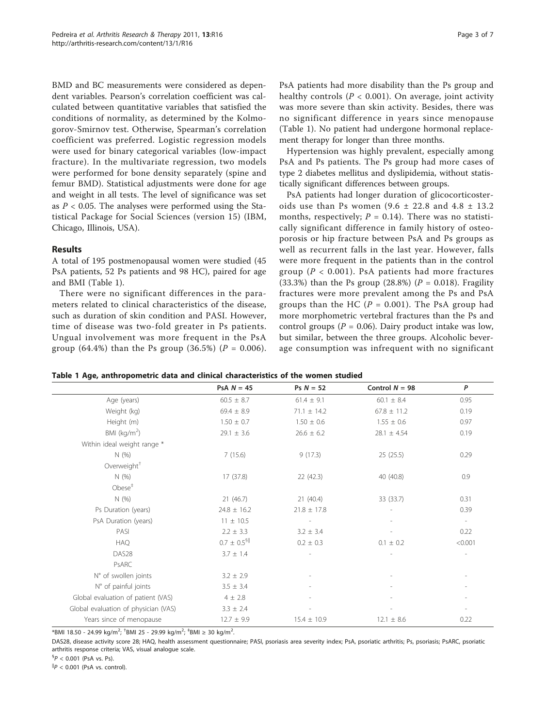BMD and BC measurements were considered as dependent variables. Pearson's correlation coefficient was calculated between quantitative variables that satisfied the conditions of normality, as determined by the Kolmogorov-Smirnov test. Otherwise, Spearman's correlation coefficient was preferred. Logistic regression models were used for binary categorical variables (low-impact fracture). In the multivariate regression, two models were performed for bone density separately (spine and femur BMD). Statistical adjustments were done for age and weight in all tests. The level of significance was set as  $P < 0.05$ . The analyses were performed using the Statistical Package for Social Sciences (version 15) (IBM, Chicago, Illinois, USA).

# Results

A total of 195 postmenopausal women were studied (45 PsA patients, 52 Ps patients and 98 HC), paired for age and BMI (Table 1).

There were no significant differences in the parameters related to clinical characteristics of the disease, such as duration of skin condition and PASI. However, time of disease was two-fold greater in Ps patients. Ungual involvement was more frequent in the PsA group (64.4%) than the Ps group (36.5%) ( $P = 0.006$ ).

PsA patients had more disability than the Ps group and healthy controls ( $P < 0.001$ ). On average, joint activity was more severe than skin activity. Besides, there was no significant difference in years since menopause (Table 1). No patient had undergone hormonal replacement therapy for longer than three months.

Hypertension was highly prevalent, especially among PsA and Ps patients. The Ps group had more cases of type 2 diabetes mellitus and dyslipidemia, without statistically significant differences between groups.

PsA patients had longer duration of glicocorticosteroids use than Ps women  $(9.6 \pm 22.8 \text{ and } 4.8 \pm 13.2 \text{)}$ months, respectively;  $P = 0.14$ ). There was no statistically significant difference in family history of osteoporosis or hip fracture between PsA and Ps groups as well as recurrent falls in the last year. However, falls were more frequent in the patients than in the control group ( $P < 0.001$ ). PsA patients had more fractures (33.3%) than the Ps group (28.8%) ( $P = 0.018$ ). Fragility fractures were more prevalent among the Ps and PsA groups than the HC ( $P = 0.001$ ). The PsA group had more morphometric vertebral fractures than the Ps and control groups ( $P = 0.06$ ). Dairy product intake was low, but similar, between the three groups. Alcoholic beverage consumption was infrequent with no significant

|  |  |  |  |  |  | Table 1 Age, anthropometric data and clinical characteristics of the women studied |  |  |  |  |
|--|--|--|--|--|--|------------------------------------------------------------------------------------|--|--|--|--|
|--|--|--|--|--|--|------------------------------------------------------------------------------------|--|--|--|--|

|                                      | PsA $N = 45$                | $Ps N = 52$     | Control $N = 98$ | P                        |
|--------------------------------------|-----------------------------|-----------------|------------------|--------------------------|
| Age (years)                          | $60.5 \pm 8.7$              | $61.4 \pm 9.1$  | $60.1 \pm 8.4$   | 0.95                     |
| Weight (kg)                          | $69.4 \pm 8.9$              | $71.1 \pm 14.2$ | $67.8 \pm 11.2$  | 0.19                     |
| Height (m)                           | $1.50 \pm 0.7$              | $1.50 \pm 0.6$  | $1.55 \pm 0.6$   | 0.97                     |
| BMI $(kq/m2)$                        | $29.1 \pm 3.6$              | $26.6 \pm 6.2$  | $28.1 \pm 4.54$  | 0.19                     |
| Within ideal weight range *          |                             |                 |                  |                          |
| N(%)                                 | 7(15.6)                     | 9(17.3)         | 25(25.5)         | 0.29                     |
| Overweight <sup>+</sup>              |                             |                 |                  |                          |
| N(% )                                | 17(37.8)                    | 22 (42.3)       | 40 (40.8)        | 0.9                      |
| Obese <sup>†</sup>                   |                             |                 |                  |                          |
| N(% )                                | 21(46.7)                    | 21(40.4)        | 33 (33.7)        | 0.31                     |
| Ps Duration (years)                  | $24.8 \pm 16.2$             | $21.8 \pm 17.8$ |                  | 0.39                     |
| PsA Duration (years)                 | $11 \pm 10.5$               |                 |                  | $\overline{\phantom{a}}$ |
| PASI                                 | $2.2 \pm 3.3$               | $3.2 \pm 3.4$   |                  | 0.22                     |
| <b>HAQ</b>                           | $0.7 \pm 0.5^{\frac{5}{1}}$ | $0.2 \pm 0.3$   | $0.1 \pm 0.2$    | < 0.001                  |
| DAS <sub>28</sub>                    | $3.7 \pm 1.4$               |                 |                  |                          |
| PsARC                                |                             |                 |                  |                          |
| N° of swollen joints                 | $3.2 \pm 2.9$               |                 |                  |                          |
| N° of painful joints                 | $3.5 \pm 3.4$               |                 |                  |                          |
| Global evaluation of patient (VAS)   | $4 \pm 2.8$                 |                 |                  |                          |
| Global evaluation of physician (VAS) | $3.3 \pm 2.4$               |                 |                  |                          |
| Years since of menopause             | $12.7 \pm 9.9$              | $15.4 \pm 10.9$ | $12.1 \pm 8.6$   | 0.22                     |

\*BMI 18.50 - 24.99 kg/m<sup>2</sup>; <sup>†</sup>BMI 25 - 29.99 kg/m<sup>2</sup>; <sup>‡</sup>BMI ≥ 30 kg/m<sup>2</sup> .

DAS28, disease activity score 28; HAQ, health assessment questionnaire; PASI, psoriasis area severity index; PsA, psoriatic arthritis; Ps, psoriasis; PsARC, psoriatic arthritis response criteria; VAS, visual analogue scale.

 ${}^{6}P$  < 0.001 (PsA vs. Ps).

 $||p|$  < 0.001 (PsA vs. control).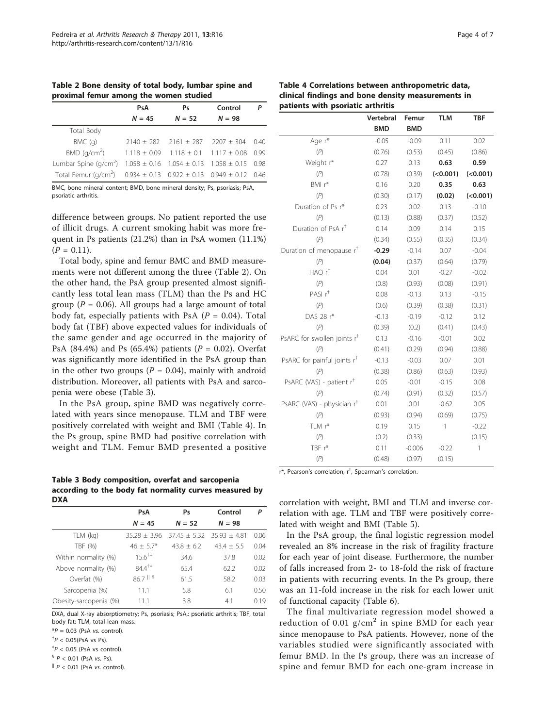Table 2 Bone density of total body, lumbar spine and proximal femur among the women studied

|                                                                                           | PsA      | Ps                                                     | Control  | $\mathsf{P}$ |
|-------------------------------------------------------------------------------------------|----------|--------------------------------------------------------|----------|--------------|
|                                                                                           | $N = 45$ | $N = 52$                                               | $N = 98$ |              |
| Total Body                                                                                |          |                                                        |          |              |
| $BMC$ (q)                                                                                 |          | $2140 \pm 282$ 2161 $\pm 287$ 2207 $\pm 304$ 0.40      |          |              |
| $BMD$ (g/cm <sup>2</sup> )                                                                |          | $1.118 \pm 0.09$ $1.118 \pm 0.1$ $1.117 \pm 0.08$ 0.99 |          |              |
| Lumbar Spine (g/cm <sup>2</sup> ) $1.058 \pm 0.16$ 1.054 $\pm$ 0.13 1.058 $\pm$ 0.15 0.98 |          |                                                        |          |              |
| Total Femur (g/cm <sup>2</sup> ) 0.934 $\pm$ 0.13 0.922 $\pm$ 0.13 0.949 $\pm$ 0.12 0.46  |          |                                                        |          |              |

BMC, bone mineral content; BMD, bone mineral density; Ps, psoriasis; PsA, psoriatic arthritis.

difference between groups. No patient reported the use of illicit drugs. A current smoking habit was more frequent in Ps patients (21.2%) than in PsA women (11.1%)  $(P = 0.11)$ .

Total body, spine and femur BMC and BMD measurements were not different among the three (Table 2). On the other hand, the PsA group presented almost significantly less total lean mass (TLM) than the Ps and HC group ( $P = 0.06$ ). All groups had a large amount of total body fat, especially patients with PsA  $(P = 0.04)$ . Total body fat (TBF) above expected values for individuals of the same gender and age occurred in the majority of PsA (84.4%) and Ps (65.4%) patients ( $P = 0.02$ ). Overfat was significantly more identified in the PsA group than in the other two groups ( $P = 0.04$ ), mainly with android distribution. Moreover, all patients with PsA and sarcopenia were obese (Table 3).

In the PsA group, spine BMD was negatively correlated with years since menopause. TLM and TBF were positively correlated with weight and BMI (Table 4). In the Ps group, spine BMD had positive correlation with weight and TLM. Femur BMD presented a positive

Table 3 Body composition, overfat and sarcopenia according to the body fat normality curves measured by DXA

|                        | PsA                     | Ps             | Control        | P    |
|------------------------|-------------------------|----------------|----------------|------|
|                        | $N = 45$                | $N = 52$       | $N = 98$       |      |
| $TLM$ (kg)             | $35.28 + 3.96$          | $37.45 + 5.32$ | $35.93 + 4.81$ | 0.06 |
| TBF (%)                | $46 + 5.7*$             | $43.8 + 6.2$   | $43.4 + 5.5$   | 0.04 |
| Within normality (%)   | $15.6^{+1}$             | 34.6           | 37.8           | 0.02 |
| Above normality (%)    | $84.4^{\dagger\dagger}$ | 65.4           | 62.2           | 0.02 |
| Overfat (%)            | $86.7$    \$            | 61.5           | 58.2           | 0.03 |
| Sarcopenia (%)         | 11.1                    | 5.8            | 6.1            | 0.50 |
| Obesity-sarcopenia (%) | 11.1                    | 3.8            | 4.1            | 0.19 |

DXA, dual X-ray absorptiometry; Ps, psoriasis; PsA,: psoriatic arthritis; TBF, total body fat; TLM, total lean mass.

 $*P = 0.03$  (PsA vs. control).

 $^{\dagger}P$  < 0.05(PsA vs Ps).

 $^{\ddagger}P < 0.05$  (PsA vs control).

 ${}^{5}P$  < 0.01 (PsA vs. Ps).

 $|| p < 0.01$  (PsA vs. control).

## Table 4 Correlations between anthropometric data, clinical findings and bone density measurements in patients with psoriatic arthritis

|                                         | Vertebral  | Femur      | <b>TLM</b> | <b>TBF</b>   |
|-----------------------------------------|------------|------------|------------|--------------|
|                                         | <b>BMD</b> | <b>BMD</b> |            |              |
| Age r*                                  | $-0.05$    | $-0.09$    | 0.11       | 0.02         |
| (P)                                     | (0.76)     | (0.53)     | (0.45)     | (0.86)       |
| Weight r*                               | 0.27       | 0.13       | 0.63       | 0.59         |
| (P)                                     | (0.78)     | (0.39)     | (<0.001)   | (<0.001)     |
| BMI r*                                  | 0.16       | 0.20       | 0.35       | 0.63         |
| (P)                                     | (0.30)     | (0.17)     | (0.02)     | (<0.001)     |
| Duration of Ps r*                       | 0.23       | 0.02       | 0.13       | $-0.10$      |
| (P)                                     | (0.13)     | (0.88)     | (0.37)     | (0.52)       |
| Duration of PsA r <sup>†</sup>          | 0.14       | 0.09       | 0.14       | 0.15         |
| (P)                                     | (0.34)     | (0.55)     | (0.35)     | (0.34)       |
| Duration of menopause r <sup>†</sup>    | $-0.29$    | $-0.14$    | 0.07       | $-0.04$      |
| (P)                                     | (0.04)     | (0.37)     | (0.64)     | (0.79)       |
| HAQ r <sup>†</sup>                      | 0.04       | 0.01       | $-0.27$    | $-0.02$      |
| (P)                                     | (0.8)      | (0.93)     | (0.08)     | (0.91)       |
| PASI r <sup>†</sup>                     | 0.08       | $-0.13$    | 0.13       | $-0.15$      |
| (P)                                     | (0.6)      | (0.39)     | (0.38)     | (0.31)       |
| DAS 28 r*                               | $-0.13$    | $-0.19$    | $-0.12$    | 0.12         |
| (P)                                     | (0.39)     | (0.2)      | (0.41)     | (0.43)       |
| PsARC for swollen joints r <sup>†</sup> | 0.13       | $-0.16$    | $-0.01$    | 0.02         |
| (P)                                     | (0.41)     | (0.29)     | (0.94)     | (0.88)       |
| PsARC for painful joints $r^{\dagger}$  | $-0.13$    | $-0.03$    | 0.07       | 0.01         |
| (P)                                     | (0.38)     | (0.86)     | (0.63)     | (0.93)       |
| PsARC (VAS) - patient $r^{\dagger}$     | 0.05       | $-0.01$    | $-0.15$    | 0.08         |
| (P)                                     | (0.74)     | (0.91)     | (0.32)     | (0.57)       |
| PsARC (VAS) - physician r <sup>†</sup>  | 0.01       | 0.01       | $-0.62$    | 0.05         |
| (P)                                     | (0.93)     | (0.94)     | (0.69)     | (0.75)       |
| TLM r*                                  | 0.19       | 0.15       | 1          | $-0.22$      |
| (P)                                     | (0.2)      | (0.33)     |            | (0.15)       |
| TBF r*                                  | 0.11       | $-0.006$   | $-0.22$    | $\mathbb{1}$ |
| (P)                                     | (0.48)     | (0.97)     | (0.15)     |              |

r\*, Pearson's correlation; r<sup>†</sup>, Spearman's correlation.

correlation with weight, BMI and TLM and inverse correlation with age. TLM and TBF were positively correlated with weight and BMI (Table [5](#page-4-0)).

In the PsA group, the final logistic regression model revealed an 8% increase in the risk of fragility fracture for each year of joint disease. Furthermore, the number of falls increased from 2- to 18-fold the risk of fracture in patients with recurring events. In the Ps group, there was an 11-fold increase in the risk for each lower unit of functional capacity (Table [6](#page-4-0)).

The final multivariate regression model showed a reduction of 0.01  $g/cm^2$  in spine BMD for each year since menopause to PsA patients. However, none of the variables studied were significantly associated with femur BMD. In the Ps group, there was an increase of spine and femur BMD for each one-gram increase in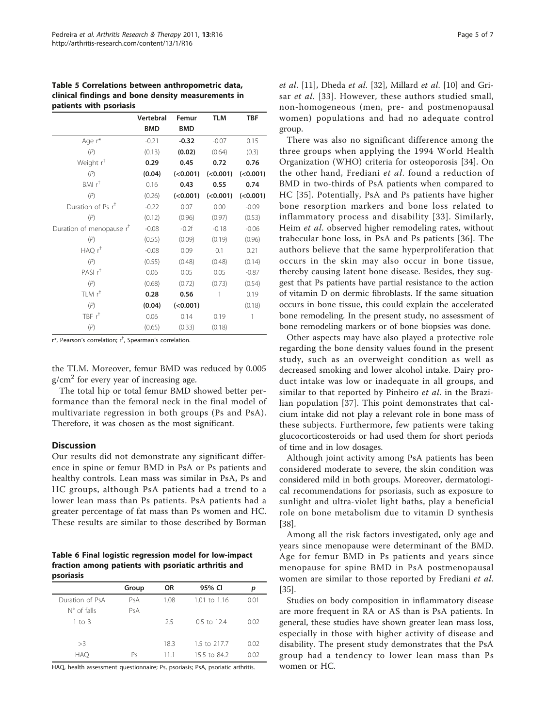<span id="page-4-0"></span>

| Table 5 Correlations between anthropometric data,  |
|----------------------------------------------------|
| clinical findings and bone density measurements in |
| patients with psoriasis                            |

|                                      | Vertebral  | Femur      | <b>TLM</b> | <b>TBF</b> |
|--------------------------------------|------------|------------|------------|------------|
|                                      | <b>BMD</b> | <b>BMD</b> |            |            |
| Age r*                               | $-0.21$    | $-0.32$    | $-0.07$    | 0.15       |
| (P)                                  | (0.13)     | (0.02)     | (0.64)     | (0.3)      |
| Weight r <sup>+</sup>                | 0.29       | 0.45       | 0.72       | 0.76       |
| (P)                                  | (0.04)     | (<0.001)   | (<0.001)   | (<0.001)   |
| $BMr^{\dagger}$                      | 0.16       | 0.43       | 0.55       | 0.74       |
| (P)                                  | (0.26)     | (<0.001)   | (<0.001)   | (<0.001)   |
| Duration of Ps r <sup>+</sup>        | $-0.22$    | 0.07       | 0.00       | $-0.09$    |
| (P)                                  | (0.12)     | (0.96)     | (0.97)     | (0.53)     |
| Duration of menopause r <sup>†</sup> | $-0.08$    | $-0.2f$    | $-0.18$    | $-0.06$    |
| (P)                                  | (0.55)     | (0.09)     | (0.19)     | (0.96)     |
| $HAQ$ $r†$                           | $-0.08$    | 0.09       | 0.1        | 0.21       |
| (P)                                  | (0.55)     | (0.48)     | (0.48)     | (0.14)     |
| $PASI r^{\dagger}$                   | 0.06       | 0.05       | 0.05       | $-0.87$    |
| (P)                                  | (0.68)     | (0.72)     | (0.73)     | (0.54)     |
| TLM $r^{\dagger}$                    | 0.28       | 0.56       | 1          | 0.19       |
| (P)                                  | (0.04)     | (<0.001)   |            | (0.18)     |
| TBF $r^{\dagger}$                    | 0.06       | 0.14       | 0.19       | 1          |
| (P)                                  | (0.65)     | (0.33)     | (0.18)     |            |

r\*, Pearson's correlation; r† , Spearman's correlation.

the TLM. Moreover, femur BMD was reduced by 0.005  $g/cm<sup>2</sup>$  for every year of increasing age.

The total hip or total femur BMD showed better performance than the femoral neck in the final model of multivariate regression in both groups (Ps and PsA). Therefore, it was chosen as the most significant.

#### **Discussion**

Our results did not demonstrate any significant difference in spine or femur BMD in PsA or Ps patients and healthy controls. Lean mass was similar in PsA, Ps and HC groups, although PsA patients had a trend to a lower lean mass than Ps patients. PsA patients had a greater percentage of fat mass than Ps women and HC. These results are similar to those described by Borman

Table 6 Final logistic regression model for low-impact fraction among patients with psoriatic arthritis and psoriasis

|                      | Group | <b>OR</b> | 95% CI           | р    |
|----------------------|-------|-----------|------------------|------|
| Duration of PsA      | PsA   | 1.08      | $1.01$ to $1.16$ | 0.01 |
| $N^{\circ}$ of falls | PsA   |           |                  |      |
| 1 to $3$             |       | 2.5       | $0.5$ to 12.4    | 0.02 |
|                      |       |           |                  |      |
| >3                   |       | 18.3      | 1.5 to 217.7     | 0.02 |
| <b>HAO</b>           | Pς    | 11 1      | 15.5 to 84.2     | 0.02 |

HAQ, health assessment questionnaire; Ps, psoriasis; PsA, psoriatic arthritis.

et al. [[11\]](#page-6-0), Dheda et al. [[32](#page-6-0)], Millard et al. [[10\]](#page-6-0) and Gri-sar et al. [[33](#page-6-0)]. However, these authors studied small, non-homogeneous (men, pre- and postmenopausal women) populations and had no adequate control group.

There was also no significant difference among the three groups when applying the 1994 World Health Organization (WHO) criteria for osteoporosis [\[34](#page-6-0)]. On the other hand, Frediani et al. found a reduction of BMD in two-thirds of PsA patients when compared to HC [\[35\]](#page-6-0). Potentially, PsA and Ps patients have higher bone resorption markers and bone loss related to inflammatory process and disability [[33](#page-6-0)]. Similarly, Heim et al. observed higher remodeling rates, without trabecular bone loss, in PsA and Ps patients [[36\]](#page-6-0). The authors believe that the same hyperproliferation that occurs in the skin may also occur in bone tissue, thereby causing latent bone disease. Besides, they suggest that Ps patients have partial resistance to the action of vitamin D on dermic fibroblasts. If the same situation occurs in bone tissue, this could explain the accelerated bone remodeling. In the present study, no assessment of bone remodeling markers or of bone biopsies was done.

Other aspects may have also played a protective role regarding the bone density values found in the present study, such as an overweight condition as well as decreased smoking and lower alcohol intake. Dairy product intake was low or inadequate in all groups, and similar to that reported by Pinheiro et al. in the Brazilian population [[37](#page-6-0)]. This point demonstrates that calcium intake did not play a relevant role in bone mass of these subjects. Furthermore, few patients were taking glucocorticosteroids or had used them for short periods of time and in low dosages.

Although joint activity among PsA patients has been considered moderate to severe, the skin condition was considered mild in both groups. Moreover, dermatological recommendations for psoriasis, such as exposure to sunlight and ultra-violet light baths, play a beneficial role on bone metabolism due to vitamin D synthesis [[38\]](#page-6-0).

Among all the risk factors investigated, only age and years since menopause were determinant of the BMD. Age for femur BMD in Ps patients and years since menopause for spine BMD in PsA postmenopausal women are similar to those reported by Frediani et al. [[35\]](#page-6-0).

Studies on body composition in inflammatory disease are more frequent in RA or AS than is PsA patients. In general, these studies have shown greater lean mass loss, especially in those with higher activity of disease and disability. The present study demonstrates that the PsA group had a tendency to lower lean mass than Ps women or HC.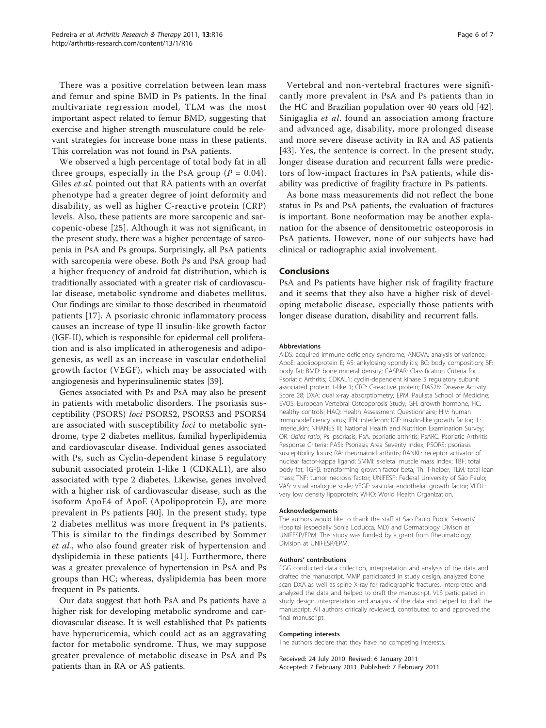There was a positive correlation between lean mass and femur and spine BMD in Ps patients. In the final multivariate regression model, TLM was the most important aspect related to femur BMD, suggesting that exercise and higher strength musculature could be relevant strategies for increase bone mass in these patients. This correlation was not found in PsA patients.

We observed a high percentage of total body fat in all three groups, especially in the PsA group ( $P = 0.04$ ). Giles et al. pointed out that RA patients with an overfat phenotype had a greater degree of joint deformity and disability, as well as higher C-reactive protein (CRP) levels. Also, these patients are more sarcopenic and sarcopenic-obese [[25\]](#page-6-0). Although it was not significant, in the present study, there was a higher percentage of sarcopenia in PsA and Ps groups. Surprisingly, all PsA patients with sarcopenia were obese. Both Ps and PsA group had a higher frequency of android fat distribution, which is traditionally associated with a greater risk of cardiovascular disease, metabolic syndrome and diabetes mellitus. Our findings are similar to those described in rheumatoid patients [\[17](#page-6-0)]. A psoriasic chronic inflammatory process causes an increase of type II insulin-like growth factor (IGF-II), which is responsible for epidermal cell proliferation and is also implicated in atherogenesis and adipogenesis, as well as an increase in vascular endothelial growth factor (VEGF), which may be associated with angiogenesis and hyperinsulinemic states [[39\]](#page-6-0).

Genes associated with Ps and PsA may also be present in patients with metabolic disorders. The psoriasis susceptibility (PSORS) loci PSORS2, PSORS3 and PSORS4 are associated with susceptibility loci to metabolic syndrome, type 2 diabetes mellitus, familial hyperlipidemia and cardiovascular disease. Individual genes associated with Ps, such as Cyclin-dependent kinase 5 regulatory subunit associated protein 1-like 1 (CDKAL1), are also associated with type 2 diabetes. Likewise, genes involved with a higher risk of cardiovascular disease, such as the isoform ApoE4 of ApoE (Apolipoprotein E), are more prevalent in Ps patients [[40\]](#page-6-0). In the present study, type 2 diabetes mellitus was more frequent in Ps patients. This is similar to the findings described by Sommer et al., who also found greater risk of hypertension and dyslipidemia in these patients [\[41](#page-6-0)]. Furthermore, there was a greater prevalence of hypertension in PsA and Ps groups than HC; whereas, dyslipidemia has been more frequent in Ps patients.

Our data suggest that both PsA and Ps patients have a higher risk for developing metabolic syndrome and cardiovascular disease. It is well established that Ps patients have hyperuricemia, which could act as an aggravating factor for metabolic syndrome. Thus, we may suppose greater prevalence of metabolic disease in PsA and Ps patients than in RA or AS patients.

Vertebral and non-vertebral fractures were significantly more prevalent in PsA and Ps patients than in the HC and Brazilian population over 40 years old [\[42](#page-6-0)]. Sinigaglia et al. found an association among fracture and advanced age, disability, more prolonged disease and more severe disease activity in RA and AS patients [[43](#page-6-0)]. Yes, the sentence is correct. In the present study, longer disease duration and recurrent falls were predictors of low-impact fractures in PsA patients, while disability was predictive of fragility fracture in Ps patients.

As bone mass measurements did not reflect the bone status in Ps and PsA patients, the evaluation of fractures is important. Bone neoformation may be another explanation for the absence of densitometric osteoporosis in PsA patients. However, none of our subjects have had clinical or radiographic axial involvement.

## Conclusions

PsA and Ps patients have higher risk of fragility fracture and it seems that they also have a higher risk of developing metabolic disease, especially those patients with longer disease duration, disability and recurrent falls.

#### Abbreviations

AIDS: acquired immune deficiency syndrome; ANOVA: analysis of variance; ApoE: apolipoprotein E; AS: ankylosing spondylitis; BC: body composition; BF: body fat; BMD: bone mineral density; CASPAR: Classification Criteria for Psoriatic Arthritis; CDKAL1: cyclin-dependent kinase 5 regulatory subunit associated protein 1-like 1; CRP: C-reactive protein; DAS28: Disease Activity Score 28; DXA: dual x-ray absorptiometry; EPM: Paulista School of Medicine; EVOS: European Vertebral Osteoporosis Study; GH: growth hormone; HC: healthy controls; HAQ: Health Assessment Questionnaire; HIV: human immunodeficiency virus; IFN: interferon; IGF: insulin-like growth factor; IL: interleukin; NHANES III: National Health and Nutrition Examination Survey; OR: Odios ratio; Ps: psoriasis; PsA: psoriatic arthritis; PsARC: Psoriatic Arthritis Response Criteria; PASI: Psoriasis Area Severity Index; PSORS: psoriasis susceptibility locus; RA: rheumatoid arthritis; RANKL: receptor activator of nuclear factor-kappa ligand; SMMI: skeletal muscle mass index; TBF: total body fat; TGFβ: transforming growth factor beta; Th: T-helper; TLM: total lean mass; TNF: tumor necrosis factor; UNIFESP: Federal University of São Paulo; VAS: visual analogue scale; VEGF: vascular endothelial growth factor; VLDL: very low density lipoprotein; WHO: World Health Organization.

#### Acknowledgements

The authors would like to thank the staff at Sao Paulo Public Servants' Hospital (especially Sonia Loducca, MD) and Dermatology Divison at UNIFESP/EPM. This study was funded by a grant from Rheumatology Division at UNIFESP/EPM.

#### Authors' contributions

PGG conducted data collection, interpretation and analysis of the data and drafted the manuscript. MMP participated in study design, analyzed bone scan DXA as well as spine X-ray for radiographic fractures, interpreted and analyzed the data and helped to draft the manuscript. VLS participated in study design, interpretation and analysis of the data and helped to draft the manuscript. All authors critically reviewed, contributed to and approved the final manuscript.

#### Competing interests

The authors declare that they have no competing interests.

Received: 24 July 2010 Revised: 6 January 2011 Accepted: 7 February 2011 Published: 7 February 2011